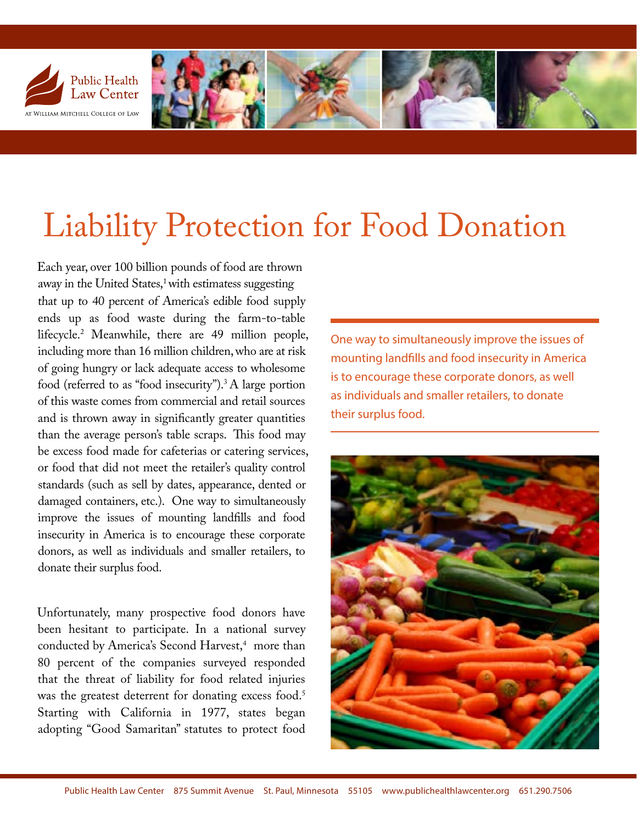

# Liability Protection for Food Donation

Each year, over 100 billion pounds of food are thrown away in the United States,<sup>1</sup> with estimatess suggesting that up to 40 percent of America's edible food supply ends up [a](#page-3-0)s food waste during the farm-to-table lifecycle.<sup>2</sup> Meanwhile, there are 49 million people, including more than 16 million children, who are at risk of going hungry or lack adequate access to wholesome food (referred to as "food insecurity").<sup>3</sup> A large portion of this waste comes from commercial and retail sources and is thrown away in significantly greater quantities than the average person's table scraps. This food may be excess food made for cafeterias or catering services, or food that did not meet the retailer's quality control standards (such as sell by dates, appearance, dented or damaged containers, etc.). One way to simultaneously improve the issues of mounting landfills and food insecurity in America is to encourage these corporate donors, as well as individuals and smaller retailers, to donate their surplus food.

Unfortunately, many prospective food donors have been hesitant to participate. In a national survey conducted by America's Second Harvest,<sup>4</sup> more than 80 percent of the companies surveyed responded that the threat of liability for food related injuries was the greatest deterrent for donating excess food.<sup>5</sup> Starting with California in 1977, states began adopting "Good Samaritan" statutes to protect food

One way to simultaneously improve the issues of mounting landfills and food insecurity in America is to encourage these corporate donors, as well as individuals and smaller retailers, to donate their surplus food.

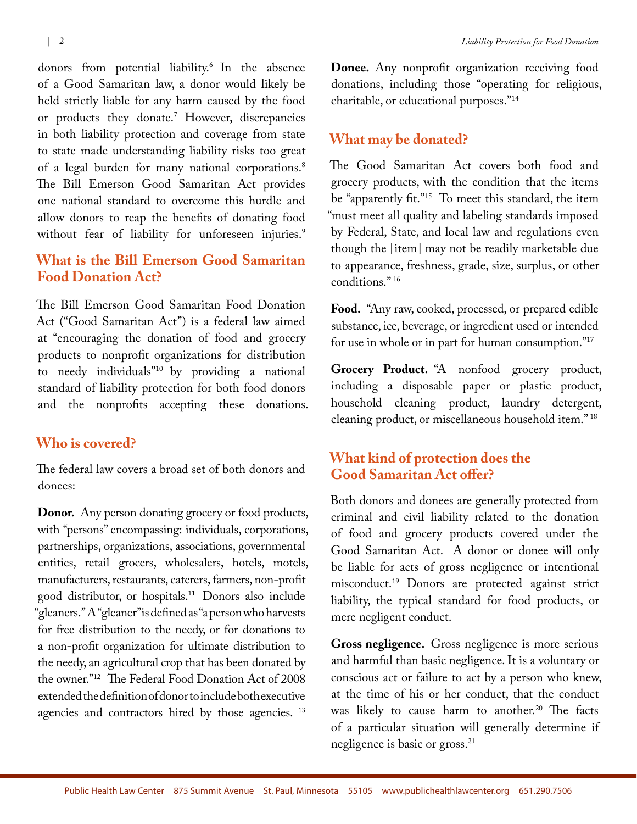donors from potential liability.6 [I](#page-3-1)n the absence of a Good Samaritan law, a donor would likely be held strictly liable for any [ha](#page-3-2)rm caused by the food or products they donate.7 However, discrepancies in both liability protection and coverage from state to state made understanding liability risks too great of a legal burden for many national corporations.<sup>8</sup> The Bill Emerson Good Samaritan Act provides one national standard to overcome this hurdle and allow donors to reap the benefits of donating food without fear of liability for unforeseen injuries.<sup>9</sup>

### **What is the Bill Emerson Good Samaritan Food Donation Act?**

The Bill Emerson Good Samaritan Food Donation Act ("Good Samaritan Act") is a federal law aimed at "encouraging the donation of food and grocery products to nonprofit organizations for distribution to needy individuals"[10](#page-3-3) by providing a national standard of liability protection for both food donors and the nonprofits accepting these donations.

#### **Who is covered?**

The federal law covers a broad set of both donors and donees:

**Donor.** Any person donating grocery or food products, with "persons" encompassing: individuals, corporations, partnerships, organizations, associations, governmental entities, retail grocers, wholesalers, hotels, motels, manufacturers, restaurants, caterers, farmers, non-profit good distributor, or hospitals.11 Donors also include "gleaners." A "gleaner" is defined as "a person who harvests for free distribution to the needy, or for donations to a non-profit organization for ultimate distribution to the needy, an agricultural crop that has been donated by the owner."[12](#page-3-4) The Federal Food Donation Act of 2008 extended the definition of donor to include both executive agencies and contractors hired by those agencies.<sup>[13](#page-3-5)</sup>

**Donee.** Any nonprofit organization receiving food donations, including those "operating for religious, charitable, or educational purposes."[14](#page-3-6)

#### **What may be donated?**

The Good Samaritan Act covers both food and grocery products, with the condition that the items be "apparently fit.["15](#page-3-7) To meet this standard, the item "must meet all quality and labeling standards imposed by Federal, State, and local law and regulations even though the [item] may not be readily marketable due to appearance, freshness, grade, size, surplus, or other conditions." [1](#page-3-8)6

**Food.** "Any raw, cooked, processed, or prepared edible substance, ice, beverage, or ingredient used or intended for use in whole or in part for human consumption.["17](#page-3-9)

**Grocery Product.** "A nonfood grocery product, including a disposable paper or plastic product, household cleaning product, laundry detergent, cleaning product, or miscellaneous household item." [18](#page-3-10)

#### **What kind of protection does the Good Samaritan Act offer?**

Both donors and donees are generally protected from criminal and civil liability related to the donation of food and grocery products covered under the Good Samaritan Act. A donor or donee will only be liable for acts of gross negligence or intentional misconduct.[19](#page-3-11) Donors are protected against strict liability, the typical standard for food products, or mere negligent conduct.

**Gross negligence.** Gross negligence is more serious and harmful than basic negligence. It is a voluntary or conscious act or failure to act by a person who knew, at the time of his or her conduct, that the conduct was likely to cause harm to another.<sup>[20](#page-3-12)</sup> The facts of a particular situation will generally determine if negligence is basic or gross.<sup>[21](#page-3-13)</sup>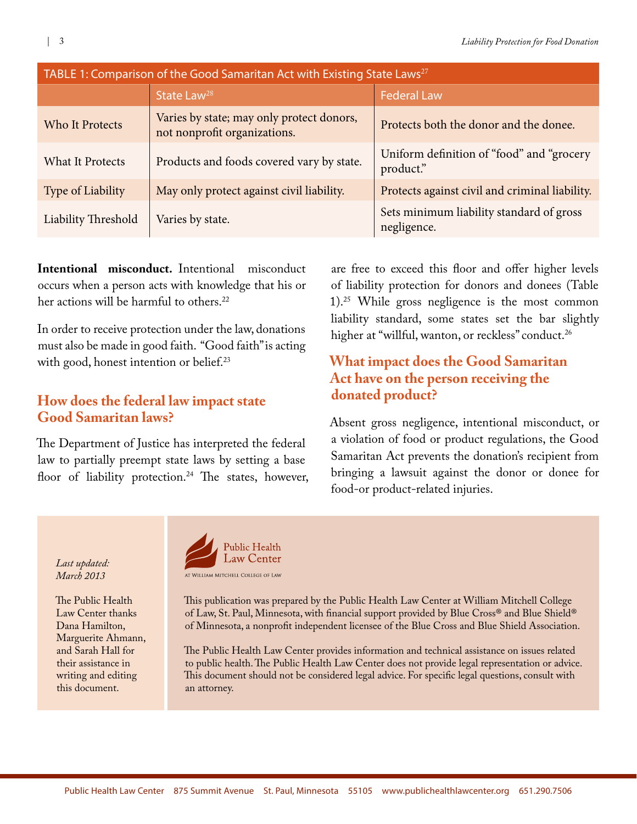| TABLE 1: Comparison of the Good Samaritan Act with Existing State Laws <sup>27</sup> |                                                                           |                                                         |
|--------------------------------------------------------------------------------------|---------------------------------------------------------------------------|---------------------------------------------------------|
|                                                                                      | State Law <sup>28</sup>                                                   | <b>Federal Law</b>                                      |
| Who It Protects                                                                      | Varies by state; may only protect donors,<br>not nonprofit organizations. | Protects both the donor and the donee.                  |
| <b>What It Protects</b>                                                              | Products and foods covered vary by state.                                 | Uniform definition of "food" and "grocery<br>product."  |
| Type of Liability                                                                    | May only protect against civil liability.                                 | Protects against civil and criminal liability.          |
| Liability Threshold                                                                  | Varies by state.                                                          | Sets minimum liability standard of gross<br>negligence. |

**Intentional misconduct.** Intentional misconduct occurs when a person acts with knowledge that his or her actions will be harmful to others.<sup>22</sup>

In order to receive protection under the law, donations must also be made in good faith. "Good faith" is acting with good, honest intention or belief.<sup>[23](#page-3-15)</sup>

## **How does the federal law impact state Good Samaritan laws?**

The Department of Justice has interpreted the federal law to partially preempt state laws by setting a base floor of liability protection.<sup>24</sup> The states, however,

are free to exceed this floor and offer higher levels of liability protection for donors and donees (Table 1)[.25](#page-3-17) While gross negligence is the most common liability standard, some states set the bar slightly higher at "willful, wanton, or reckless" conduct.<sup>[26](#page-3-18)</sup>

# **What impact does the Good Samaritan Act have on the person receiving the donated product?**

Absent gross negligence, intentional misconduct, or a violation of food or product regulations, the Good Samaritan Act prevents the donation's recipient from bringing a lawsuit against the donor or donee for food-or product-related injuries.

*Last updated: March 2013*

The Public Health Law Center thanks Dana Hamilton, Marguerite Ahmann, and Sarah Hall for their assistance in writing and editing this document.



This publication was prepared by the Public Health Law Center at William Mitchell College of Law, St. Paul, Minnesota, with financial support provided by Blue Cross® and Blue Shield® of Minnesota, a nonprofit independent licensee of the Blue Cross and Blue Shield Association.

The Public Health Law Center provides information and technical assistance on issues related to public health. The Public Health Law Center does not provide legal representation or advice. This document should not be considered legal advice. For specific legal questions, consult with an attorney.